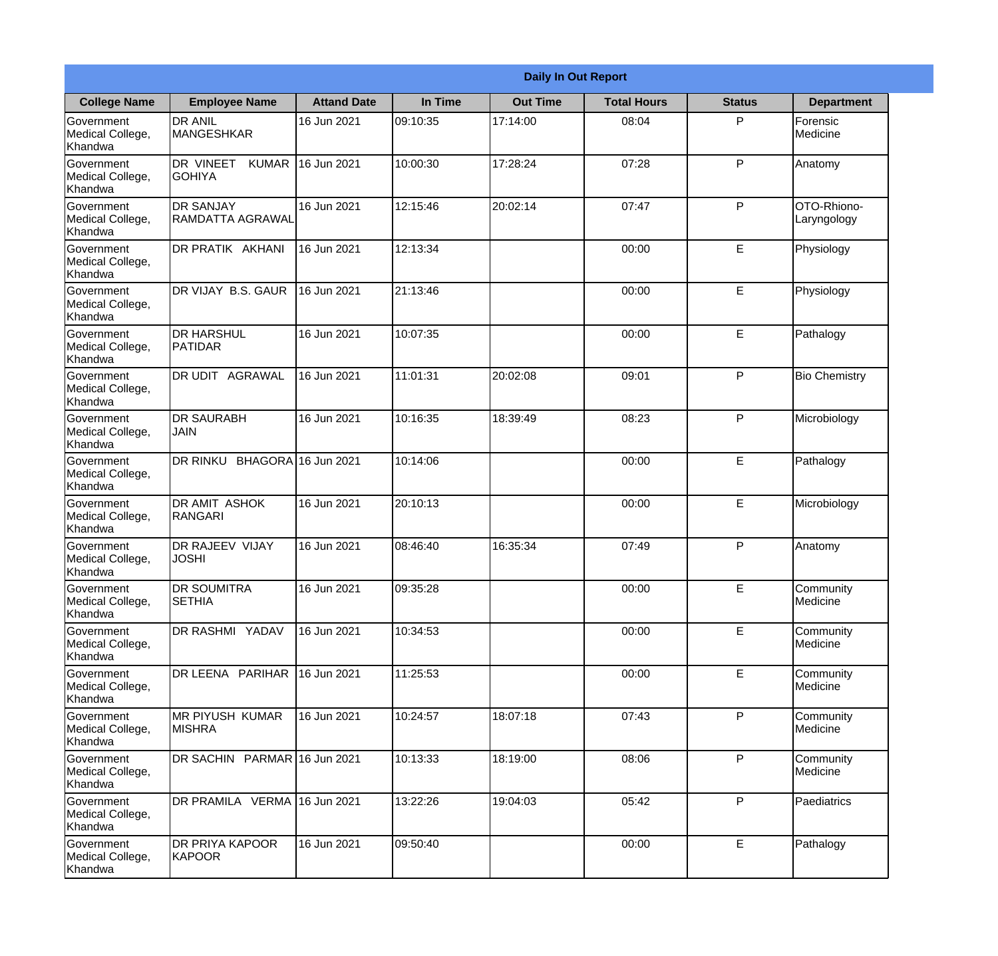|                                                  |                                            |                    |          | <b>Daily In Out Report</b> |                    |               |                              |
|--------------------------------------------------|--------------------------------------------|--------------------|----------|----------------------------|--------------------|---------------|------------------------------|
| <b>College Name</b>                              | <b>Employee Name</b>                       | <b>Attand Date</b> | In Time  | <b>Out Time</b>            | <b>Total Hours</b> | <b>Status</b> | <b>Department</b>            |
| Government<br>Medical College,<br>Khandwa        | <b>DR ANIL</b><br><b>MANGESHKAR</b>        | 16 Jun 2021        | 09:10:35 | 17:14:00                   | 08:04              | P             | Forensic<br>Medicine         |
| Government<br>Medical College,<br>Khandwa        | DR VINEET<br><b>KUMAR</b><br><b>GOHIYA</b> | 16 Jun 2021        | 10:00:30 | 17:28:24                   | 07:28              | P             | Anatomy                      |
| Government<br>Medical College,<br>Khandwa        | <b>IDR SANJAY</b><br>RAMDATTA AGRAWAL      | 16 Jun 2021        | 12:15:46 | 20:02:14                   | 07:47              | P             | OTO-Rhiono-<br>Laryngology   |
| Government<br>Medical College,<br>Khandwa        | DR PRATIK AKHANI                           | 16 Jun 2021        | 12:13:34 |                            | 00:00              | E             | Physiology                   |
| <b>Government</b><br>Medical College,<br>Khandwa | DR VIJAY B.S. GAUR                         | 16 Jun 2021        | 21:13:46 |                            | 00:00              | E             | Physiology                   |
| Government<br>Medical College,<br>Khandwa        | <b>DR HARSHUL</b><br>PATIDAR               | 16 Jun 2021        | 10:07:35 |                            | 00:00              | E             | Pathalogy                    |
| Government<br>Medical College,<br>Khandwa        | <b>DR UDIT AGRAWAL</b>                     | 16 Jun 2021        | 11:01:31 | 20:02:08                   | 09:01              | P             | <b>Bio Chemistry</b>         |
| Government<br>Medical College,<br>Khandwa        | <b>DR SAURABH</b><br><b>JAIN</b>           | 16 Jun 2021        | 10:16:35 | 18:39:49                   | 08:23              | P             | Microbiology                 |
| Government<br>Medical College,<br>Khandwa        | DR RINKU BHAGORA 16 Jun 2021               |                    | 10:14:06 |                            | 00:00              | E             | Pathalogy                    |
| Government<br>Medical College,<br>Khandwa        | <b>DR AMIT ASHOK</b><br>RANGARI            | 16 Jun 2021        | 20:10:13 |                            | 00:00              | E             | Microbiology                 |
| Government<br>Medical College,<br>Khandwa        | <b>DR RAJEEV VIJAY</b><br><b>JOSHI</b>     | 16 Jun 2021        | 08:46:40 | 16:35:34                   | 07:49              | P             | Anatomy                      |
| Government<br>Medical College,<br>Khandwa        | <b>DR SOUMITRA</b><br><b>SETHIA</b>        | 16 Jun 2021        | 09:35:28 |                            | 00:00              | E             | Community<br>Medicine        |
| Government<br>Medical College,<br>Khandwa        | DR RASHMI YADAV                            | 16 Jun 2021        | 10:34:53 |                            | 00:00              | E             | Community<br><b>Medicine</b> |
| Government<br>Medical College,<br>Khandwa        | DR LEENA PARIHAR                           | 16 Jun 2021        | 11:25:53 |                            | 00:00              | E             | Community<br>Medicine        |
| Government<br>Medical College,<br>Khandwa        | <b>MR PIYUSH KUMAR</b><br><b>MISHRA</b>    | 16 Jun 2021        | 10:24:57 | 18:07:18                   | 07:43              | P             | Community<br>Medicine        |
| Government<br>Medical College,<br>Khandwa        | DR SACHIN PARMAR 16 Jun 2021               |                    | 10:13:33 | 18:19:00                   | 08:06              | P             | Community<br>Medicine        |
| Government<br>Medical College,<br>Khandwa        | DR PRAMILA VERMA 16 Jun 2021               |                    | 13:22:26 | 19:04:03                   | 05:42              | P             | Paediatrics                  |
| Government<br>Medical College,<br>Khandwa        | <b>DR PRIYA KAPOOR</b><br>KAPOOR           | 16 Jun 2021        | 09:50:40 |                            | 00:00              | E             | Pathalogy                    |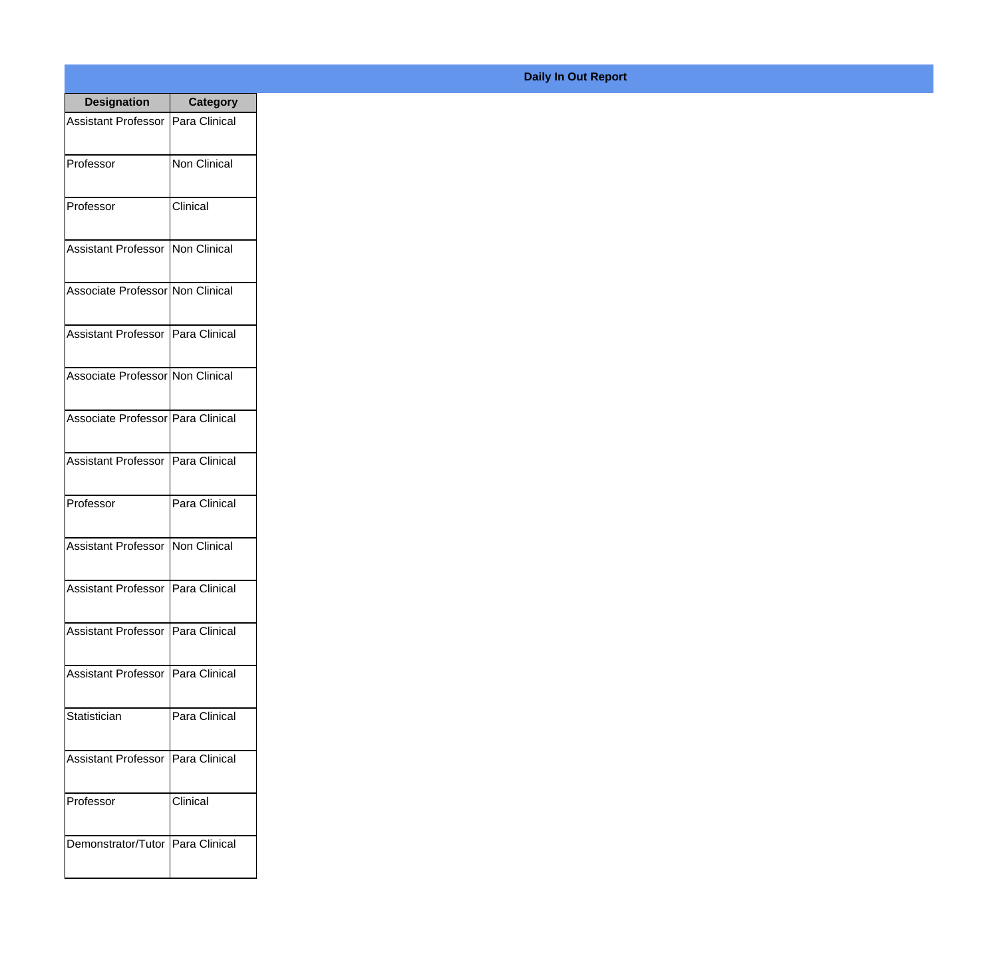| <b>Designation</b>                  | <b>Category</b>     |
|-------------------------------------|---------------------|
| Assistant Professor   Para Clinical |                     |
| Professor                           | <b>Non Clinical</b> |
| Professor                           | Clinical            |
| Assistant Professor                 | Non Clinical        |
| Associate Professor Non Clinical    |                     |
| Assistant Professor   Para Clinical |                     |
| Associate Professor Non Clinical    |                     |
| Associate Professor Para Clinical   |                     |
| Assistant Professor   Para Clinical |                     |
| Professor                           | Para Clinical       |
| Assistant Professor                 | Non Clinical        |
| <b>Assistant Professor</b>          | Para Clinical       |
| <b>Assistant Professor</b>          | Para Clinical       |
| <b>Assistant Professor</b>          | Para Clinical       |
| Statistician                        | Para Clinical       |
| <b>Assistant Professor</b>          | Para Clinical       |
| Professor                           | Clinical            |
| Demonstrator/Tutor                  | Para Clinical       |

## **Daily In Out Report**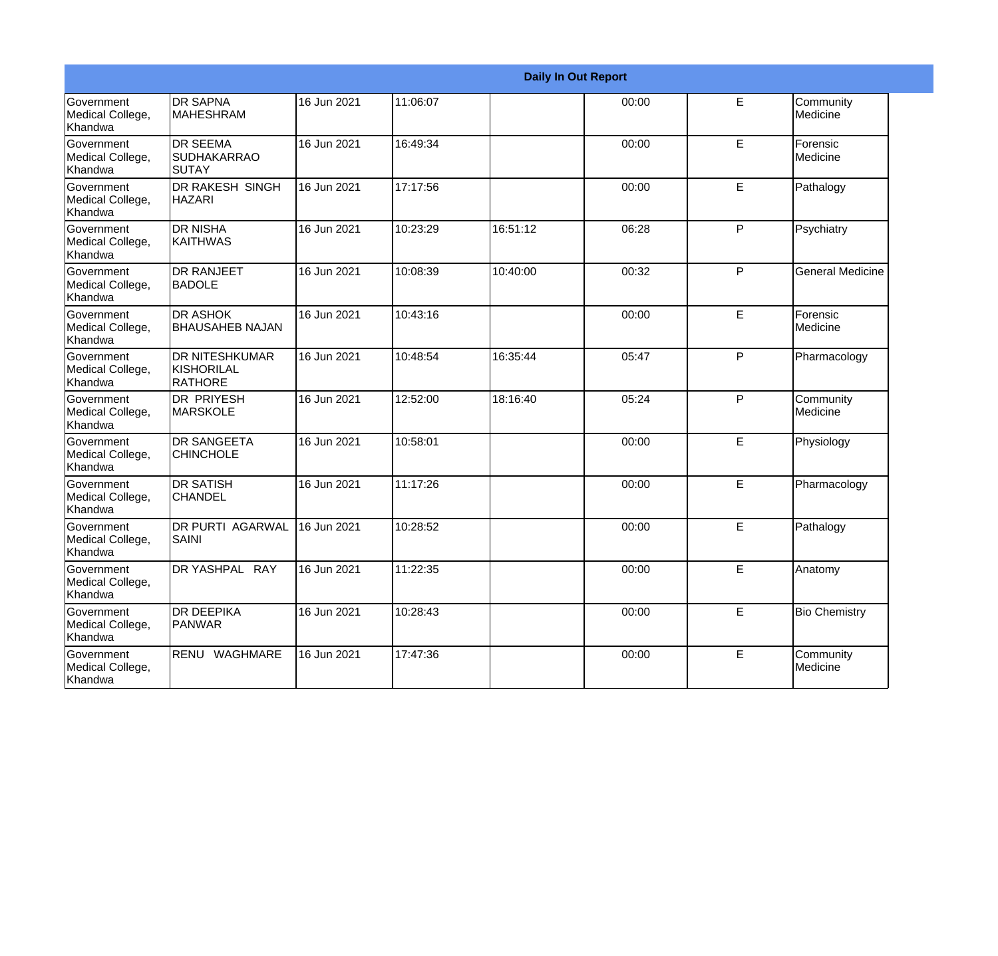|                                                  |                                                 |             |          |          | <b>Daily In Out Report</b> |   |                         |
|--------------------------------------------------|-------------------------------------------------|-------------|----------|----------|----------------------------|---|-------------------------|
| <b>Government</b><br>Medical College,<br>Khandwa | <b>DR SAPNA</b><br><b>MAHESHRAM</b>             | 16 Jun 2021 | 11:06:07 |          | 00:00                      | E | Community<br>Medicine   |
| Government<br>Medical College,<br>Khandwa        | <b>DR SEEMA</b><br><b>SUDHAKARRAO</b><br>ISUTAY | 16 Jun 2021 | 16:49:34 |          | 00:00                      | E | Forensic<br>Medicine    |
| <b>Government</b><br>Medical College,<br>Khandwa | DR RAKESH SINGH<br><b>HAZARI</b>                | 16 Jun 2021 | 17:17:56 |          | 00:00                      | E | Pathalogy               |
| Government<br>Medical College,<br>Khandwa        | <b>DR NISHA</b><br><b>KAITHWAS</b>              | 16 Jun 2021 | 10:23:29 | 16:51:12 | 06:28                      | P | Psychiatry              |
| Government<br>Medical College,<br>Khandwa        | <b>DR RANJEET</b><br><b>BADOLE</b>              | 16 Jun 2021 | 10:08:39 | 10:40:00 | 00:32                      | P | <b>General Medicine</b> |
| Government<br>Medical College,<br>Khandwa        | <b>DR ASHOK</b><br><b>BHAUSAHEB NAJAN</b>       | 16 Jun 2021 | 10:43:16 |          | 00:00                      | E | Forensic<br>Medicine    |
| <b>Government</b><br>Medical College,<br>Khandwa | <b>DR NITESHKUMAR</b><br>KISHORILAL<br>RATHORE  | 16 Jun 2021 | 10:48:54 | 16:35:44 | 05:47                      | P | Pharmacology            |
| Government<br>Medical College,<br>Khandwa        | <b>DR PRIYESH</b><br><b>MARSKOLE</b>            | 16 Jun 2021 | 12:52:00 | 18:16:40 | 05:24                      | P | Community<br>Medicine   |
| Government<br>Medical College,<br>Khandwa        | <b>DR SANGEETA</b><br><b>CHINCHOLE</b>          | 16 Jun 2021 | 10:58:01 |          | 00:00                      | E | Physiology              |
| Government<br>Medical College,<br>Khandwa        | <b>DR SATISH</b><br><b>CHANDEL</b>              | 16 Jun 2021 | 11:17:26 |          | 00:00                      | E | Pharmacology            |
| <b>Government</b><br>Medical College,<br>Khandwa | <b>DR PURTI AGARWAL</b><br>SAINI                | 16 Jun 2021 | 10:28:52 |          | 00:00                      | E | Pathalogy               |
| Government<br>Medical College,<br>Khandwa        | DR YASHPAL RAY                                  | 16 Jun 2021 | 11:22:35 |          | 00:00                      | E | Anatomy                 |
| Government<br>Medical College,<br>Khandwa        | <b>DR DEEPIKA</b><br><b>PANWAR</b>              | 16 Jun 2021 | 10:28:43 |          | 00:00                      | E | <b>Bio Chemistry</b>    |
| Government<br>Medical College,<br>Khandwa        | RENU WAGHMARE                                   | 16 Jun 2021 | 17:47:36 |          | 00:00                      | E | Community<br>Medicine   |